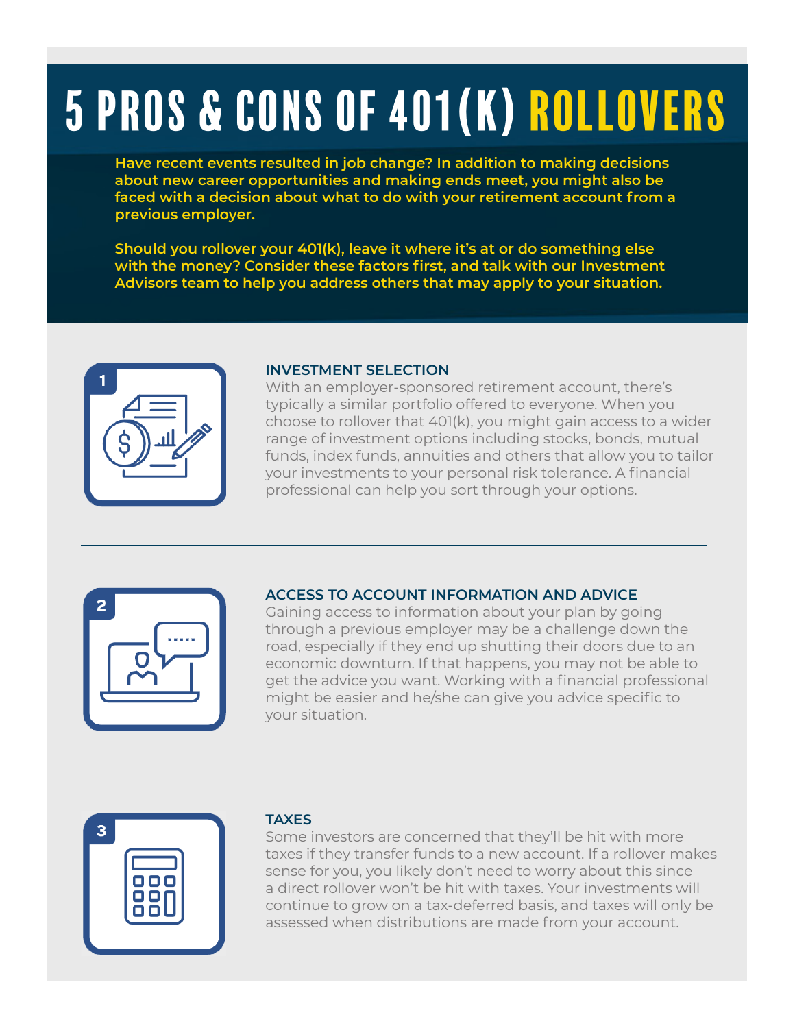# 5 pros & cons of 401(K) Rollovers

**Have recent events resulted in job change? In addition to making decisions about new career opportunities and making ends meet, you might also be faced with a decision about what to do with your retirement account from a previous employer.**

**Should you rollover your 401(k), leave it where it's at or do something else with the money? Consider these factors first, and talk with our Investment Advisors team to help you address others that may apply to your situation.**



#### **INVESTMENT SELECTION**

With an employer-sponsored retirement account, there's typically a similar portfolio offered to everyone. When you choose to rollover that 401(k), you might gain access to a wider range of investment options including stocks, bonds, mutual funds, index funds, annuities and others that allow you to tailor your investments to your personal risk tolerance. A financial professional can help you sort through your options.



## **ACCESS TO ACCOUNT INFORMATION AND ADVICE**

Gaining access to information about your plan by going through a previous employer may be a challenge down the road, especially if they end up shutting their doors due to an economic downturn. If that happens, you may not be able to get the advice you want. Working with a financial professional might be easier and he/she can give you advice specific to your situation.

| 3 |                |  |
|---|----------------|--|
|   |                |  |
|   | 000<br>88<br>C |  |
|   |                |  |
|   |                |  |

#### **TAXES**

Some investors are concerned that they'll be hit with more taxes if they transfer funds to a new account. If a rollover makes sense for you, you likely don't need to worry about this since a direct rollover won't be hit with taxes. Your investments will continue to grow on a tax-deferred basis, and taxes will only be assessed when distributions are made from your account.